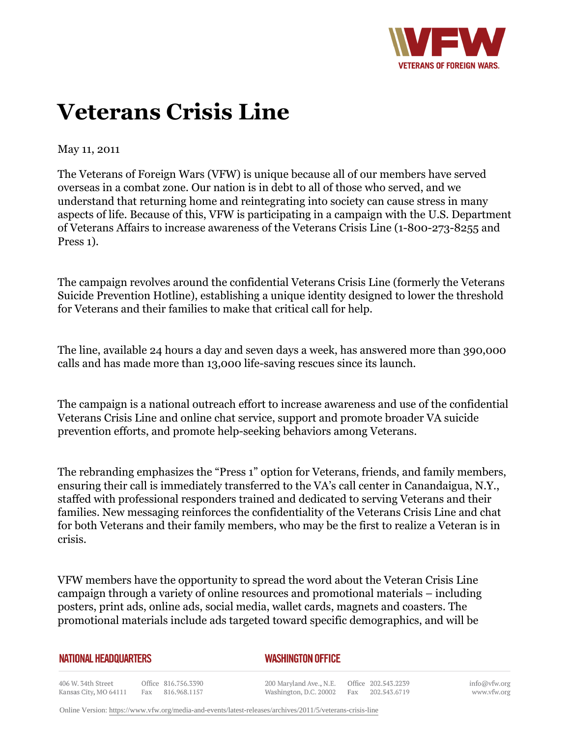

## **Veterans Crisis Line**

May 11, 2011

The Veterans of Foreign Wars (VFW) is unique because all of our members have served overseas in a combat zone. Our nation is in debt to all of those who served, and we understand that returning home and reintegrating into society can cause stress in many aspects of life. Because of this, VFW is participating in a campaign with the U.S. Department of Veterans Affairs to increase awareness of the Veterans Crisis Line (1-800-273-8255 and Press 1).

The campaign revolves around the confidential Veterans Crisis Line (formerly the Veterans Suicide Prevention Hotline), establishing a unique identity designed to lower the threshold for Veterans and their families to make that critical call for help.

The line, available 24 hours a day and seven days a week, has answered more than 390,000 calls and has made more than 13,000 life-saving rescues since its launch.

The campaign is a national outreach effort to increase awareness and use of the confidential Veterans Crisis Line and online chat service, support and promote broader VA suicide prevention efforts, and promote help-seeking behaviors among Veterans.

The rebranding emphasizes the "Press 1" option for Veterans, friends, and family members, ensuring their call is immediately transferred to the VA's call center in Canandaigua, N.Y., staffed with professional responders trained and dedicated to serving Veterans and their families. New messaging reinforces the confidentiality of the Veterans Crisis Line and chat for both Veterans and their family members, who may be the first to realize a Veteran is in crisis.

VFW members have the opportunity to spread the word about the Veteran Crisis Line campaign through a variety of online resources and promotional materials – including posters, print ads, online ads, social media, wallet cards, magnets and coasters. The promotional materials include ads targeted toward specific demographics, and will be

| <b>NATIONAL HEADQUARTERS</b> |  |  |
|------------------------------|--|--|
|------------------------------|--|--|

## *WASHINGTON OFFICE*

406 W. 34th Street Office 816.756.3390 Kansas City, MO 64111 Fax 816.968.1157

200 Maryland Ave., N.E. Washington, D.C. 20002 Fax 202.543.6719

Office 202.543.2239